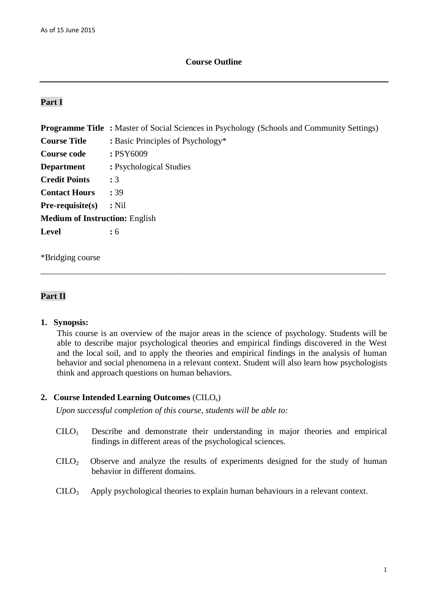## **Course Outline**

# **Part I**

|                                       | <b>Programme Title:</b> Master of Social Sciences in Psychology (Schools and Community Settings) |  |  |  |  |
|---------------------------------------|--------------------------------------------------------------------------------------------------|--|--|--|--|
| <b>Course Title</b>                   | : Basic Principles of Psychology*                                                                |  |  |  |  |
| <b>Course code</b>                    | : PSY6009                                                                                        |  |  |  |  |
| <b>Department</b>                     | : Psychological Studies                                                                          |  |  |  |  |
| <b>Credit Points</b>                  | : 3                                                                                              |  |  |  |  |
| <b>Contact Hours</b>                  | : 39                                                                                             |  |  |  |  |
| $Pre-requisite(s)$                    | $:$ Nil                                                                                          |  |  |  |  |
| <b>Medium of Instruction: English</b> |                                                                                                  |  |  |  |  |
| <b>Level</b>                          | $\colon 6$                                                                                       |  |  |  |  |
|                                       |                                                                                                  |  |  |  |  |

\_\_\_\_\_\_\_\_\_\_\_\_\_\_\_\_\_\_\_\_\_\_\_\_\_\_\_\_\_\_\_\_\_\_\_\_\_\_\_\_\_\_\_\_\_\_\_\_\_\_\_\_\_\_\_\_\_\_\_\_\_\_\_\_\_\_\_\_\_\_\_\_\_\_\_\_\_\_\_\_

\*Bridging course

# **Part II**

#### **1. Synopsis:**

This course is an overview of the major areas in the science of psychology. Students will be able to describe major psychological theories and empirical findings discovered in the West and the local soil, and to apply the theories and empirical findings in the analysis of human behavior and social phenomena in a relevant context. Student will also learn how psychologists think and approach questions on human behaviors.

## **2. Course Intended Learning Outcomes** (CILOs)

*Upon successful completion of this course, students will be able to:*

- $C I L O<sub>1</sub>$  Describe and demonstrate their understanding in major theories and empirical findings in different areas of the psychological sciences.
- CILO2 Observe and analyze the results of experiments designed for the study of human behavior in different domains.
- CILO3 Apply psychological theories to explain human behaviours in a relevant context.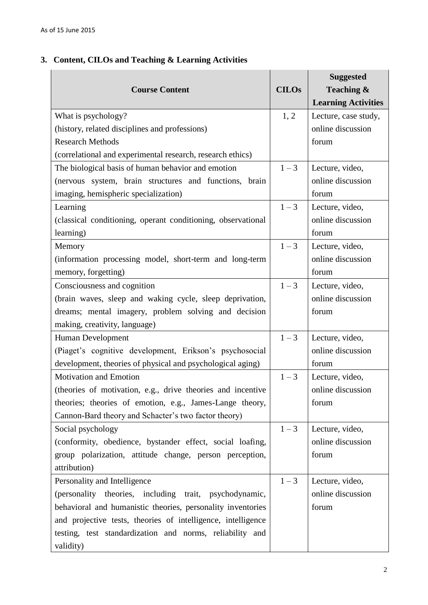# **3. Content, CILOs and Teaching & Learning Activities**

| <b>Course Content</b>                                        | <b>CILOs</b> | <b>Suggested</b><br>Teaching &<br><b>Learning Activities</b> |
|--------------------------------------------------------------|--------------|--------------------------------------------------------------|
| What is psychology?                                          | 1, 2         | Lecture, case study,                                         |
| (history, related disciplines and professions)               |              | online discussion                                            |
| <b>Research Methods</b>                                      |              | forum                                                        |
| (correlational and experimental research, research ethics)   |              |                                                              |
| The biological basis of human behavior and emotion           | $1 - 3$      | Lecture, video,                                              |
| (nervous system, brain structures and functions, brain       |              | online discussion                                            |
| imaging, hemispheric specialization)                         |              | forum                                                        |
| Learning                                                     | $1 - 3$      | Lecture, video,                                              |
| (classical conditioning, operant conditioning, observational |              | online discussion                                            |
| learning)                                                    |              | forum                                                        |
| Memory                                                       | $1 - 3$      | Lecture, video,                                              |
| (information processing model, short-term and long-term      |              | online discussion                                            |
| memory, forgetting)                                          |              | forum                                                        |
| Consciousness and cognition                                  | $1 - 3$      | Lecture, video,                                              |
| (brain waves, sleep and waking cycle, sleep deprivation,     |              | online discussion                                            |
| dreams; mental imagery, problem solving and decision         |              | forum                                                        |
| making, creativity, language)                                |              |                                                              |
| Human Development                                            | $1 - 3$      | Lecture, video,                                              |
| (Piaget's cognitive development, Erikson's psychosocial      |              | online discussion                                            |
| development, theories of physical and psychological aging)   |              | forum                                                        |
| <b>Motivation and Emotion</b>                                | $1 - 3$      | Lecture, video,                                              |
| (theories of motivation, e.g., drive theories and incentive  |              | online discussion                                            |
| theories; theories of emotion, e.g., James-Lange theory,     |              | forum                                                        |
| Cannon-Bard theory and Schacter's two factor theory)         |              |                                                              |
| Social psychology                                            | $1 - 3$      | Lecture, video,                                              |
| (conformity, obedience, bystander effect, social loafing,    |              | online discussion                                            |
| group polarization, attitude change, person perception,      |              | forum                                                        |
| attribution)                                                 |              |                                                              |
| Personality and Intelligence                                 | $1 - 3$      | Lecture, video,                                              |
| (personality theories, including trait, psychodynamic,       |              | online discussion                                            |
| behavioral and humanistic theories, personality inventories  |              | forum                                                        |
| and projective tests, theories of intelligence, intelligence |              |                                                              |
| testing, test standardization and norms, reliability and     |              |                                                              |
| validity)                                                    |              |                                                              |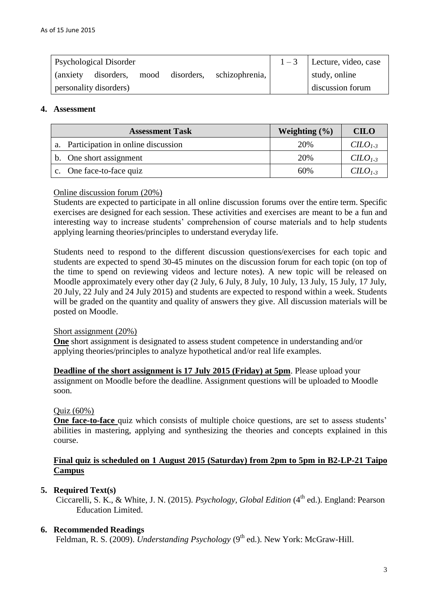| <b>Psychological Disorder</b> |                            |  |  | $1-3$ Lecture, video, case |               |
|-------------------------------|----------------------------|--|--|----------------------------|---------------|
| (anxiety)                     | disorders, mood disorders, |  |  | schizophrenia,             | study, online |
| personality disorders)        |                            |  |  | discussion forum           |               |

## **4. Assessment**

| <b>Assessment Task</b>                | Weighting $(\% )$ | <b>CILO</b>                |
|---------------------------------------|-------------------|----------------------------|
| a. Participation in online discussion | 20%               | C <sub>L<sub>3</sub></sub> |
| b. One short assignment               | 20%               | $C1-3$                     |
| c. One face-to-face quiz              | 60%               | $C1-3$                     |

## Online discussion forum (20%)

Students are expected to participate in all online discussion forums over the entire term. Specific exercises are designed for each session. These activities and exercises are meant to be a fun and interesting way to increase students' comprehension of course materials and to help students applying learning theories/principles to understand everyday life.

Students need to respond to the different discussion questions/exercises for each topic and students are expected to spend 30-45 minutes on the discussion forum for each topic (on top of the time to spend on reviewing videos and lecture notes). A new topic will be released on Moodle approximately every other day (2 July, 6 July, 8 July, 10 July, 13 July, 15 July, 17 July, 20 July, 22 July and 24 July 2015) and students are expected to respond within a week. Students will be graded on the quantity and quality of answers they give. All discussion materials will be posted on Moodle.

#### Short assignment (20%)

**One** short assignment is designated to assess student competence in understanding and/or applying theories/principles to analyze hypothetical and/or real life examples.

**Deadline of the short assignment is 17 July 2015 (Friday) at 5pm**. Please upload your assignment on Moodle before the deadline. Assignment questions will be uploaded to Moodle soon.

#### Quiz  $(60\%)$

**One face-to-face** quiz which consists of multiple choice questions, are set to assess students' abilities in mastering, applying and synthesizing the theories and concepts explained in this course.

# **Final quiz is scheduled on 1 August 2015 (Saturday) from 2pm to 5pm in B2-LP-21 Taipo Campus**

# **5. Required Text(s)**

Ciccarelli, S. K., & White, J. N. (2015). *Psychology, Global Edition* (4<sup>th</sup> ed.). England: Pearson Education Limited.

# **6. Recommended Readings**

Feldman, R. S. (2009). *Understanding Psychology* (9<sup>th</sup> ed.). New York: McGraw-Hill.